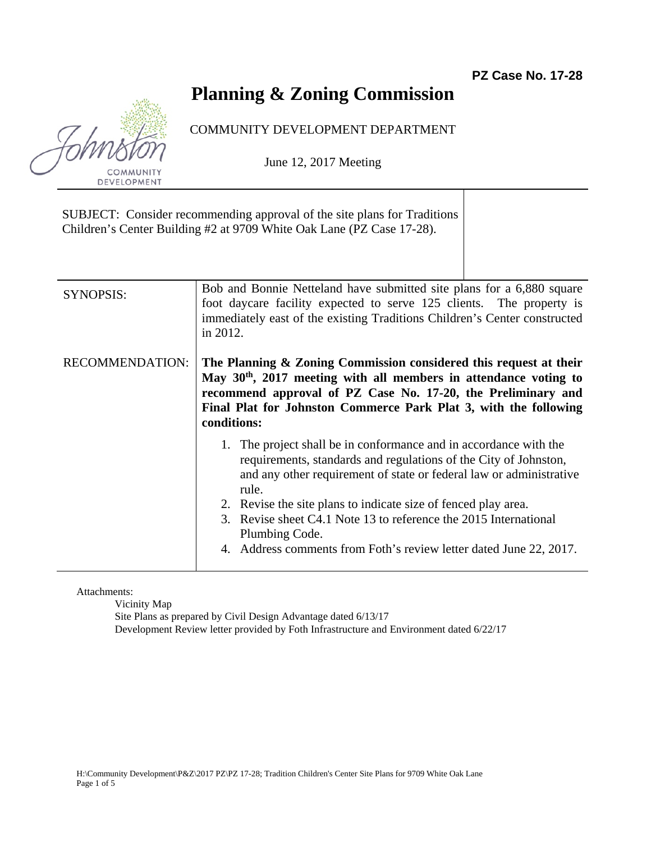## **Planning & Zoning Commission**

## COMMUNITY DEVELOPMENT DEPARTMENT

June 12, 2017 Meeting

SUBJECT: Consider recommending approval of the site plans for Traditions Children's Center Building #2 at 9709 White Oak Lane (PZ Case 17-28). SYNOPSIS: Bob and Bonnie Netteland have submitted site plans for a 6,880 square foot daycare facility expected to serve 125 clients. The property is immediately east of the existing Traditions Children's Center constructed in 2012. RECOMMENDATION: **The Planning & Zoning Commission considered this request at their May 30th, 2017 meeting with all members in attendance voting to recommend approval of PZ Case No. 17-20, the Preliminary and Final Plat for Johnston Commerce Park Plat 3, with the following conditions:**  1. The project shall be in conformance and in accordance with the requirements, standards and regulations of the City of Johnston, and any other requirement of state or federal law or administrative rule. 2. Revise the site plans to indicate size of fenced play area. 3. Revise sheet C4.1 Note 13 to reference the 2015 International Plumbing Code. 4. Address comments from Foth's review letter dated June 22, 2017.

Attachments:

Vicinity Map Site Plans as prepared by Civil Design Advantage dated 6/13/17 Development Review letter provided by Foth Infrastructure and Environment dated 6/22/17

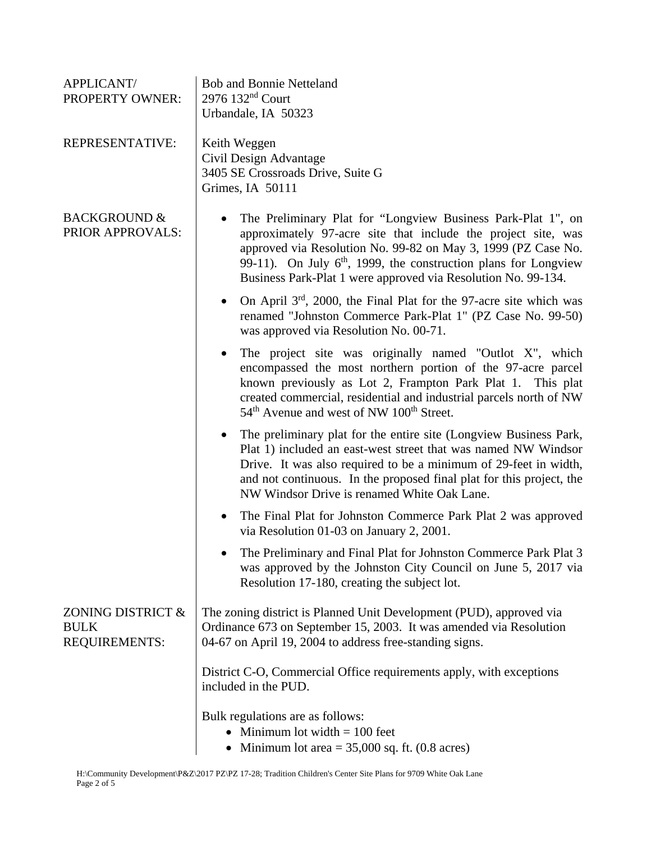| APPLICANT/<br>PROPERTY OWNER:                     | <b>Bob and Bonnie Netteland</b><br>$2976$ 132 <sup>nd</sup> Court<br>Urbandale, IA 50323                                                                                                                                                                                                                                             |
|---------------------------------------------------|--------------------------------------------------------------------------------------------------------------------------------------------------------------------------------------------------------------------------------------------------------------------------------------------------------------------------------------|
| REPRESENTATIVE:                                   | Keith Weggen<br>Civil Design Advantage<br>3405 SE Crossroads Drive, Suite G<br>Grimes, IA 50111                                                                                                                                                                                                                                      |
| <b>BACKGROUND &amp;</b><br>PRIOR APPROVALS:       | The Preliminary Plat for "Longview Business Park-Plat 1", on<br>approximately 97-acre site that include the project site, was<br>approved via Resolution No. 99-82 on May 3, 1999 (PZ Case No.<br>99-11). On July $6th$ , 1999, the construction plans for Longview<br>Business Park-Plat 1 were approved via Resolution No. 99-134. |
|                                                   | On April $3rd$ , 2000, the Final Plat for the 97-acre site which was<br>renamed "Johnston Commerce Park-Plat 1" (PZ Case No. 99-50)<br>was approved via Resolution No. 00-71.                                                                                                                                                        |
|                                                   | The project site was originally named "Outlot X", which<br>encompassed the most northern portion of the 97-acre parcel<br>known previously as Lot 2, Frampton Park Plat 1. This plat<br>created commercial, residential and industrial parcels north of NW<br>54 <sup>th</sup> Avenue and west of NW 100 <sup>th</sup> Street.       |
|                                                   | The preliminary plat for the entire site (Longview Business Park,<br>Plat 1) included an east-west street that was named NW Windsor<br>Drive. It was also required to be a minimum of 29-feet in width,<br>and not continuous. In the proposed final plat for this project, the<br>NW Windsor Drive is renamed White Oak Lane.       |
|                                                   | The Final Plat for Johnston Commerce Park Plat 2 was approved<br>via Resolution 01-03 on January 2, 2001.                                                                                                                                                                                                                            |
|                                                   | The Preliminary and Final Plat for Johnston Commerce Park Plat 3<br>was approved by the Johnston City Council on June 5, 2017 via<br>Resolution 17-180, creating the subject lot.                                                                                                                                                    |
| ZONING DISTRICT &<br><b>BULK</b><br>REQUIREMENTS: | The zoning district is Planned Unit Development (PUD), approved via<br>Ordinance 673 on September 15, 2003. It was amended via Resolution<br>04-67 on April 19, 2004 to address free-standing signs.                                                                                                                                 |
|                                                   | District C-O, Commercial Office requirements apply, with exceptions<br>included in the PUD.                                                                                                                                                                                                                                          |
|                                                   | Bulk regulations are as follows:<br>• Minimum lot width $= 100$ feet<br>• Minimum lot area = $35,000$ sq. ft. (0.8 acres)                                                                                                                                                                                                            |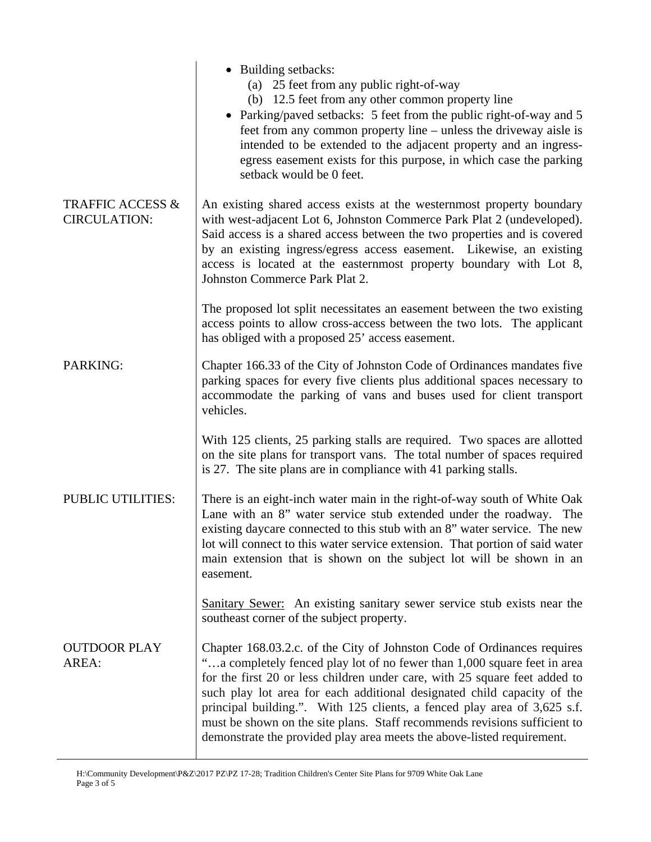|                                                    | • Building setbacks:<br>(a) 25 feet from any public right-of-way<br>(b) 12.5 feet from any other common property line<br>• Parking/paved setbacks: 5 feet from the public right-of-way and 5<br>feet from any common property line – unless the driveway aisle is<br>intended to be extended to the adjacent property and an ingress-<br>egress easement exists for this purpose, in which case the parking<br>setback would be 0 feet.                                                                                                         |
|----------------------------------------------------|-------------------------------------------------------------------------------------------------------------------------------------------------------------------------------------------------------------------------------------------------------------------------------------------------------------------------------------------------------------------------------------------------------------------------------------------------------------------------------------------------------------------------------------------------|
| <b>TRAFFIC ACCESS &amp;</b><br><b>CIRCULATION:</b> | An existing shared access exists at the westernmost property boundary<br>with west-adjacent Lot 6, Johnston Commerce Park Plat 2 (undeveloped).<br>Said access is a shared access between the two properties and is covered<br>by an existing ingress/egress access easement. Likewise, an existing<br>access is located at the easternmost property boundary with Lot 8,<br>Johnston Commerce Park Plat 2.                                                                                                                                     |
|                                                    | The proposed lot split necessitates an easement between the two existing<br>access points to allow cross-access between the two lots. The applicant<br>has obliged with a proposed 25' access easement.                                                                                                                                                                                                                                                                                                                                         |
| PARKING:                                           | Chapter 166.33 of the City of Johnston Code of Ordinances mandates five<br>parking spaces for every five clients plus additional spaces necessary to<br>accommodate the parking of vans and buses used for client transport<br>vehicles.                                                                                                                                                                                                                                                                                                        |
|                                                    | With 125 clients, 25 parking stalls are required. Two spaces are allotted<br>on the site plans for transport vans. The total number of spaces required<br>is 27. The site plans are in compliance with 41 parking stalls.                                                                                                                                                                                                                                                                                                                       |
| <b>PUBLIC UTILITIES:</b>                           | There is an eight-inch water main in the right-of-way south of White Oak<br>Lane with an 8" water service stub extended under the roadway. The<br>existing daycare connected to this stub with an 8" water service. The new<br>lot will connect to this water service extension. That portion of said water<br>main extension that is shown on the subject lot will be shown in an<br>easement.                                                                                                                                                 |
|                                                    | Sanitary Sewer: An existing sanitary sewer service stub exists near the<br>southeast corner of the subject property.                                                                                                                                                                                                                                                                                                                                                                                                                            |
| <b>OUTDOOR PLAY</b><br>AREA:                       | Chapter 168.03.2.c. of the City of Johnston Code of Ordinances requires<br>"a completely fenced play lot of no fewer than 1,000 square feet in area<br>for the first 20 or less children under care, with 25 square feet added to<br>such play lot area for each additional designated child capacity of the<br>principal building.". With 125 clients, a fenced play area of 3,625 s.f.<br>must be shown on the site plans. Staff recommends revisions sufficient to<br>demonstrate the provided play area meets the above-listed requirement. |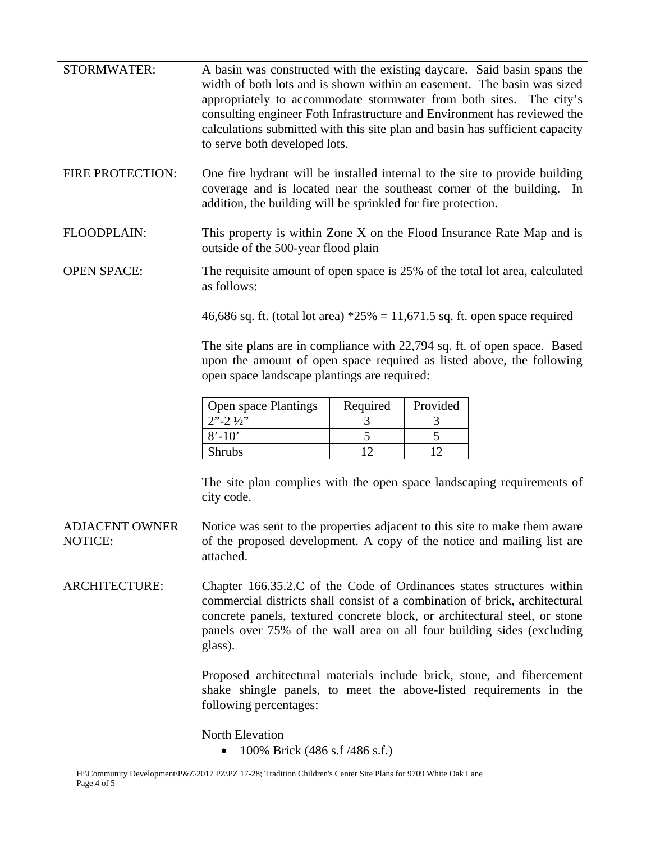| <b>STORMWATER:</b>               | A basin was constructed with the existing daycare. Said basin spans the<br>width of both lots and is shown within an easement. The basin was sized<br>appropriately to accommodate stormwater from both sites. The city's<br>consulting engineer Foth Infrastructure and Environment has reviewed the<br>calculations submitted with this site plan and basin has sufficient capacity<br>to serve both developed lots. |
|----------------------------------|------------------------------------------------------------------------------------------------------------------------------------------------------------------------------------------------------------------------------------------------------------------------------------------------------------------------------------------------------------------------------------------------------------------------|
| FIRE PROTECTION:                 | One fire hydrant will be installed internal to the site to provide building<br>coverage and is located near the southeast corner of the building. In<br>addition, the building will be sprinkled for fire protection.                                                                                                                                                                                                  |
| FLOODPLAIN:                      | This property is within Zone X on the Flood Insurance Rate Map and is<br>outside of the 500-year flood plain                                                                                                                                                                                                                                                                                                           |
| <b>OPEN SPACE:</b>               | The requisite amount of open space is 25% of the total lot area, calculated<br>as follows:                                                                                                                                                                                                                                                                                                                             |
|                                  | 46,686 sq. ft. (total lot area) $*25\% = 11,671.5$ sq. ft. open space required                                                                                                                                                                                                                                                                                                                                         |
|                                  | The site plans are in compliance with 22,794 sq. ft. of open space. Based<br>upon the amount of open space required as listed above, the following<br>open space landscape plantings are required:                                                                                                                                                                                                                     |
|                                  | Open space Plantings<br>Required<br>Provided                                                                                                                                                                                                                                                                                                                                                                           |
|                                  | $2" - 2 \frac{1}{2}"$<br>3<br>3                                                                                                                                                                                                                                                                                                                                                                                        |
|                                  | 5<br>5<br>$8' - 10'$                                                                                                                                                                                                                                                                                                                                                                                                   |
|                                  | 12<br>12<br><b>Shrubs</b>                                                                                                                                                                                                                                                                                                                                                                                              |
|                                  | The site plan complies with the open space landscaping requirements of<br>city code.                                                                                                                                                                                                                                                                                                                                   |
| <b>ADJACENT OWNER</b><br>NOTICE: | Notice was sent to the properties adjacent to this site to make them aware<br>of the proposed development. A copy of the notice and mailing list are<br>attached.                                                                                                                                                                                                                                                      |
| <b>ARCHITECTURE:</b>             | Chapter 166.35.2.C of the Code of Ordinances states structures within<br>commercial districts shall consist of a combination of brick, architectural<br>concrete panels, textured concrete block, or architectural steel, or stone<br>panels over 75% of the wall area on all four building sides (excluding<br>glass).                                                                                                |
|                                  | Proposed architectural materials include brick, stone, and fibercement<br>shake shingle panels, to meet the above-listed requirements in the<br>following percentages:                                                                                                                                                                                                                                                 |
|                                  | North Elevation<br>100% Brick (486 s.f /486 s.f.)<br>$\bullet$                                                                                                                                                                                                                                                                                                                                                         |